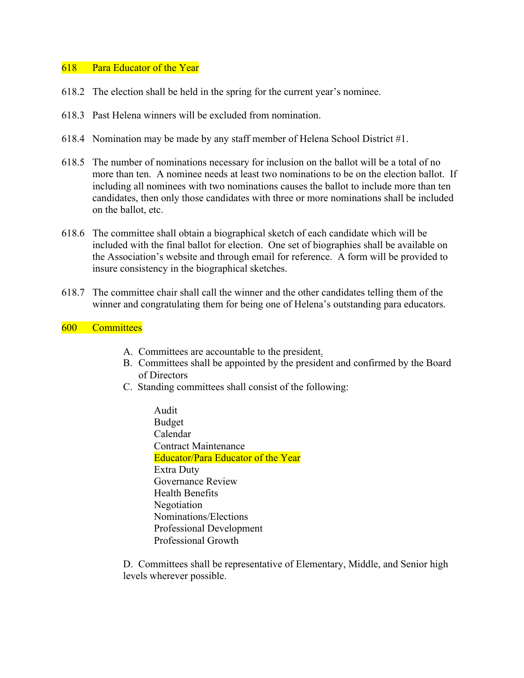## 618 Para Educator of the Year

- 618.2 The election shall be held in the spring for the current year's nominee.
- 618.3 Past Helena winners will be excluded from nomination.
- 618.4 Nomination may be made by any staff member of Helena School District #1.
- 618.5 The number of nominations necessary for inclusion on the ballot will be a total of no more than ten. A nominee needs at least two nominations to be on the election ballot. If including all nominees with two nominations causes the ballot to include more than ten candidates, then only those candidates with three or more nominations shall be included on the ballot, etc.
- 618.6 The committee shall obtain a biographical sketch of each candidate which will be included with the final ballot for election. One set of biographies shall be available on the Association's website and through email for reference. A form will be provided to insure consistency in the biographical sketches.
- 618.7 The committee chair shall call the winner and the other candidates telling them of the winner and congratulating them for being one of Helena's outstanding para educators.

## 600 Committees

- A. Committees are accountable to the president.
- B. Committees shall be appointed by the president and confirmed by the Board of Directors
- C. Standing committees shall consist of the following:
	- Audit Budget Calendar Contract Maintenance Educator/Para Educator of the Year Extra Duty Governance Review Health Benefits Negotiation Nominations/Elections Professional Development Professional Growth

D. Committees shall be representative of Elementary, Middle, and Senior high levels wherever possible.